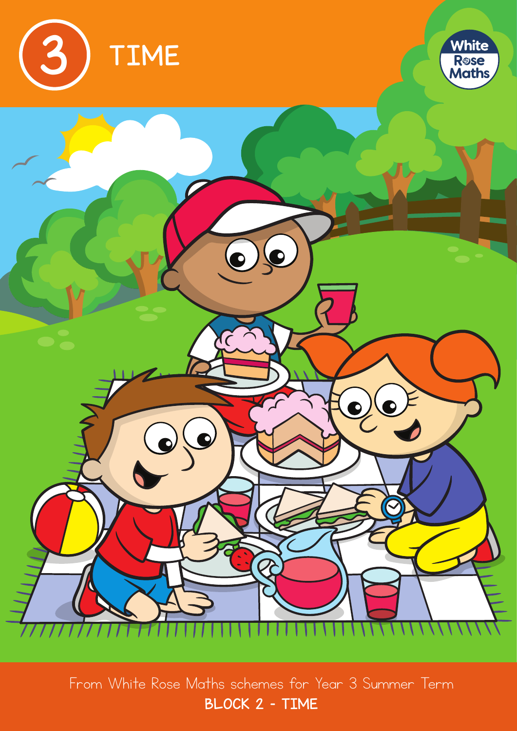

From White Rose Maths schemes for Year 3 Summer Term BLOCK 2 – TIME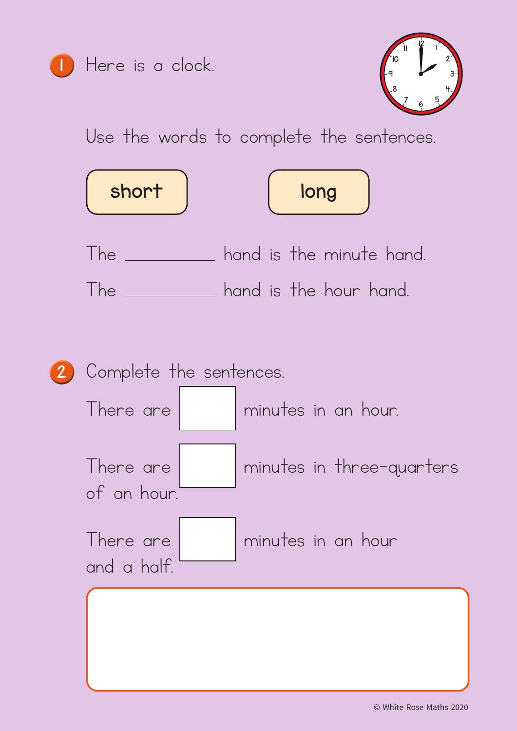

Here is a clock.



Use the words to complete the sentences.



The **contract contract is the minute hand.** The **contract contract contract** hand.

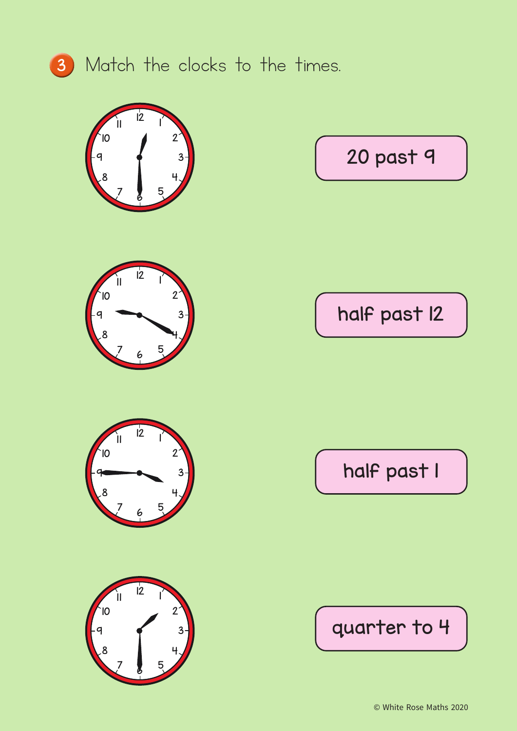

## Match the clocks to the times.









20 past 9

half past 12

half past 1

quarter to 4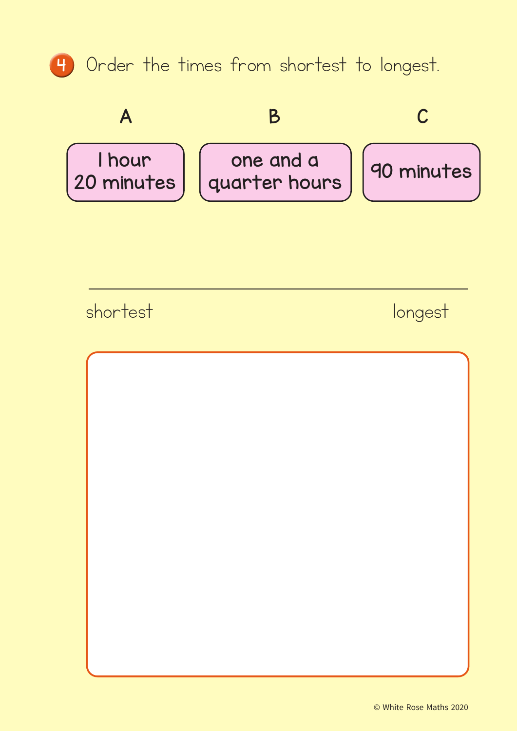



shortest longest

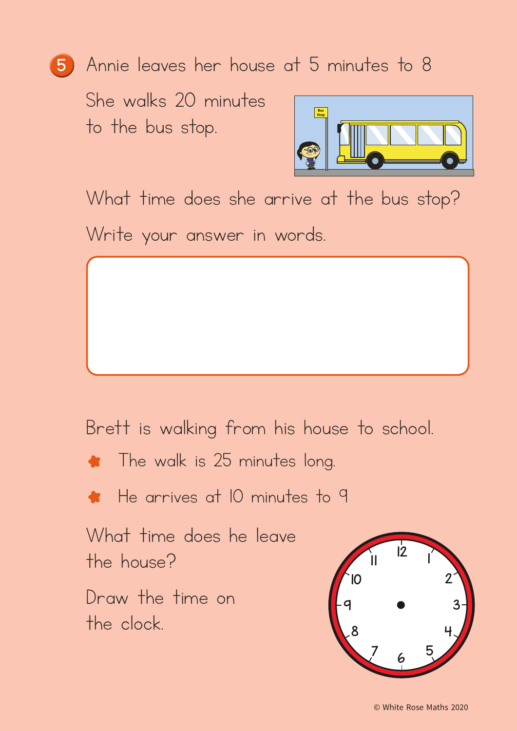## <sup>5</sup> Annie leaves her house at 5 minutes to 8

She walks 20 minutes to the bus stop.



What time does she arrive at the bus stop? Write your answer in words.

Brett is walking from his house to school.



He arrives at 10 minutes to 9

What time does he leave the house?

Draw the time on the clock.

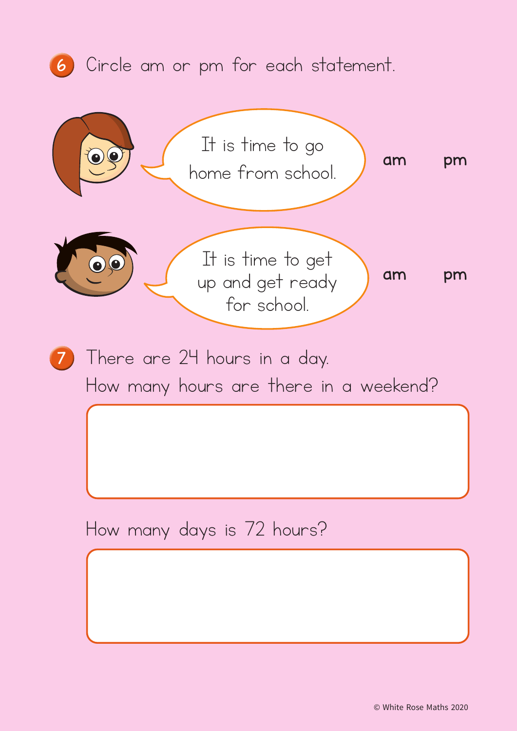## <sup>6</sup> Circle am or pm for each statement.

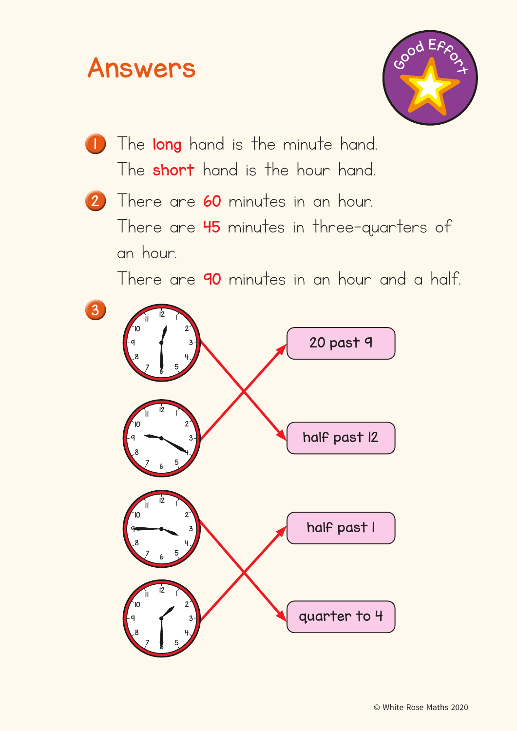## Answers



- The long hand is the minute hand. The **short** hand is the hour hand.
- 2 There are 60 minutes in an hour. There are 45 minutes in three-quarters of an hour.

There are 90 minutes in an hour and a half.